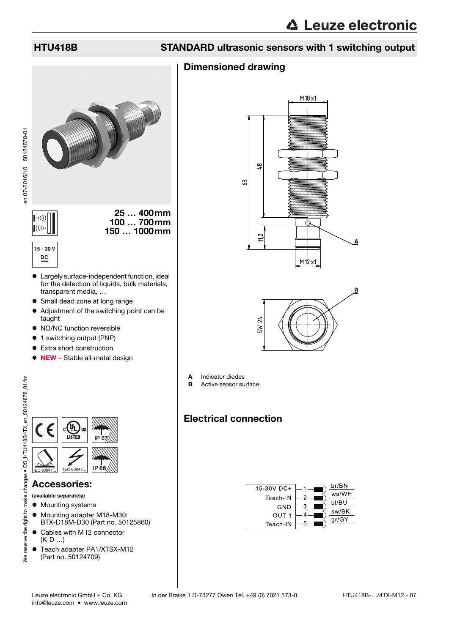en 07-2016/10 50124878-01

en 07-2016/10 50124878-01

### HTU418B STANDARD ultrasonic sensors with 1 switching output

### Dimensioned drawing



- Largely surface-independent function, ideal for the detection of liquids, bulk materials, transparent media, …
- Small dead zone at long range
- Adjustment of the switching point can be taught
- NO/NC function reversible
- 1 switching output (PNP)
- **•** Extra short construction
- NEW Stable all-metal design

|           | <b>US</b><br><b>LISTED</b> | IP |
|-----------|----------------------------|----|
| IEC 60947 | IEC 60947                  |    |

### Accessories:

(available separately)

- $\bullet$  Mounting systems
- $\bullet$  Mounting adapter M18-M30: BTX-D18M-D30 (Part no. 50125860)
- Cables with M12 connector (K-D …)
- $\bullet$  Teach adapter PA1/XTSX-M12 (Part no. 50124709)





- A Indicator diodes
- **B** Active sensor surface

## Electrical connection

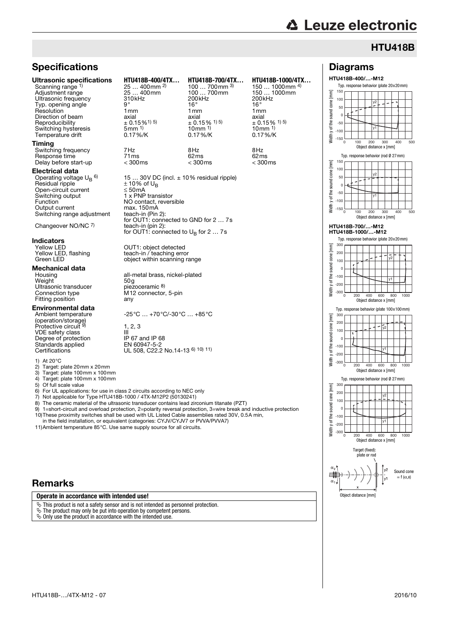Diagrams HTU418B-400/…-M12

y2

Typ. response behavior (plate 20x20mm)

-50  $\overline{0}$ 50 100 150

E sound cone

### HTU418B

### **Specifications**

#### Timing

Switching frequency 7Hz 8Hz 8Hz Response time 71ms 62ms 62ms Delay before start-up

#### Electrical data

Operating voltage  $\mathsf{U_{B}}^{\mathsf{6}}$ Residual ripple  $\pm 10\%$  of U<sub>B</sub> Open-circuit current ≤ 50mA<br>Switching output 1 x PNP Switching output 1 x PNP transistor Function NO contact, reversible Output current max. 150mA Switching range adjustment

Changeover NO/NC 7)

## **Indicators**<br>Yellow LED

## **Mechanical data**<br>Housing

Weight 50g<br>Ultrasonic transducer biezoceramic 8) Ultrasonic transducer<br>Connection type Fitting position

#### Environmental data

Ambient temperature (operation/storage) Protective circuit VDE safety class III<br>Degree of protection IP 67 and IP 68 Standards applied EN 60947-5-2<br>Certifications UL 508, C22.2

1) At  $20^{\circ}$ C<br>2) Target:

2) Target: plate  $20$ mm x  $20$ mm<br>3) Target: plate  $100$ mm x  $100$ m

3) Target: plate 100mm x 100mm

4) Target: plate 100mm x 100mm<br>5) Of full scale value

5) Of full scale value<br>6) For UL application

For UL applications: for use in class 2 circuits according to NEC only

7) Not applicable for Type HTU418B-1000 / 4TX-M12P2 (50130241)

- 8) The ceramic material of the ultrasonic transducer contains lead zirconium titanate (PZT)<br>9)  $1 =$ short-circuit and overload protection  $2 =$ polarity reversal protection  $3 =$ wire break and
- 1=short-circuit and overload protection, 2=polarity reversal protection, 3=wire break and inductive protection 10)These proximity switches shall be used with UL Listed Cable assemblies rated 30V, 0.5A min,

in the field installation, or equivalent (categories: CYJV/CYJV7 or PVVA/PVVA7) 11)Ambient temperature 85°C. Use same supply source for all circuits.

### Remarks

#### **Operate in accordance with intended use!**

 $\ddot{\phi}$  This product is not a safety sensor and is not intended as personnel protection.

 $\ddot{\mathfrak{B}}$  The product may only be put into operation by competent persons.

 $\ddot{\mathbb{Q}}$  Only use the product in accordance with the intended use.

| <b>Ultrasonic specifications</b> | HTU418B-400/4TX                         | HTU418B-700/4TX               | HTU418B-1000/4TX             |
|----------------------------------|-----------------------------------------|-------------------------------|------------------------------|
| Scanning range 1)                | $25400$ mm <sup>2)</sup>                | 100  700 mm $^{3)}$           | 150  1000mm $4$ )            |
| Adjustment range                 | 25  400mm                               | 100  700mm                    | 150  1000mm                  |
| Ultrasonic frequency             | 310 <sub>kHz</sub>                      | 200 kHz                       | 200kHz                       |
| Typ. opening angle               | $9^{\circ}$                             | 16°                           | 16°                          |
| Resolution                       | 1 mm                                    | 1 mm                          | 1 mm                         |
| Direction of beam                | axial                                   | axial                         | axial                        |
| Reproducibility                  | $\pm$ 0.15% <sup>1)</sup> <sup>5)</sup> | $\pm$ 0.15 % <sup>1) 5)</sup> | $\pm$ 0.15% <sup>1) 5)</sup> |
| Switching hysteresis             | $5 \text{mm}$ <sup>1)</sup>             | $10 \,\mathrm{mm}$ 1)         | $10mm$ <sup>1)</sup>         |
| Temperature drift                | $0.17\%$ /K                             | $0.17\%$ /K                   | $0.17\%$ /K                  |
| Timina                           |                                         |                               |                              |

15 ... 30V DC (incl.  $\pm$  10% residual ripple)<br> $\pm$  10% of U<sub>R</sub> max: 150mA<br>teach-in (Pin 2):<br>for OUT1: connected to GND for 2 ... 7s teach-in (pin 2): for OUT1: connected to  $U_B$  for 2 ... 7s

Yellow LED <br>
Yellow LED, flashing 
Yellow LED, flashing<br>
teach-in / teaching error Yellow LED, flashing teach-in / teaching error<br>Green LED object within scanning rate coden my redening ener-

> all-metal brass, nickel-plated<br>50q M12 connector, 5-pin<br>any

-25°C … +70°C/-30°C … +85°C

 $1, 2, 3$ UL 508, C22.2 No.14-13 6) 10) 11) 150 ... 1000mm <sup>4)</sup><br>150 ... 1000mm  $\pm 0.15\%$  <sup>1) 5)</sup><br>10mm <sup>1)</sup>





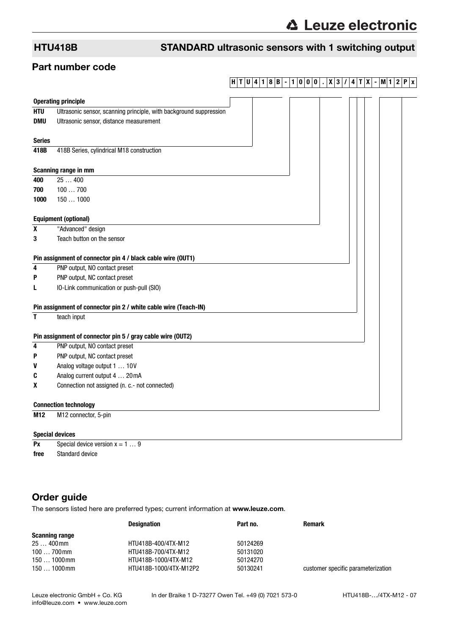### HTU418B STANDARD ultrasonic sensors with 1 switching output

### Part number code

### **H T U 4 1 8 B - 1 0 0 0 . X 3 / 4 T X - M1 2 P x**

|               | <b>Operating principle</b>                                         |  |
|---------------|--------------------------------------------------------------------|--|
| <b>HTU</b>    | Ultrasonic sensor, scanning principle, with background suppression |  |
| <b>DMU</b>    | Ultrasonic sensor, distance measurement                            |  |
|               |                                                                    |  |
| <b>Series</b> |                                                                    |  |
| 418B          | 418B Series, cylindrical M18 construction                          |  |
|               |                                                                    |  |
|               | Scanning range in mm                                               |  |
| 400           | 25400                                                              |  |
| 700           | 100700                                                             |  |
| 1000          | 1501000                                                            |  |
|               |                                                                    |  |
|               | <b>Equipment (optional)</b>                                        |  |
| $\pmb{\chi}$  | "Advanced" design                                                  |  |
| 3             | Teach button on the sensor                                         |  |
|               |                                                                    |  |
|               | Pin assignment of connector pin 4 / black cable wire (OUT1)        |  |
| 4             | PNP output, NO contact preset                                      |  |
| P             | PNP output, NC contact preset                                      |  |
| L             | IO-Link communication or push-pull (SIO)                           |  |
|               |                                                                    |  |
|               | Pin assignment of connector pin 2 / white cable wire (Teach-IN)    |  |
| T             | teach input                                                        |  |
|               |                                                                    |  |
|               | Pin assignment of connector pin 5 / gray cable wire (OUT2)         |  |
| 4             | PNP output, NO contact preset                                      |  |
| P             | PNP output, NC contact preset                                      |  |
| V             | Analog voltage output 1  10V                                       |  |
| C             | Analog current output 4  20 mA                                     |  |
| X             | Connection not assigned (n. c.- not connected)                     |  |
|               | <b>Connection technology</b>                                       |  |
| M12           | M12 connector, 5-pin                                               |  |
|               |                                                                    |  |
|               | <b>Special devices</b>                                             |  |

**Px** Special device version  $x = 1 ... 9$ **free** Standard device

### Order guide

The sensors listed here are preferred types; current information at www.leuze.com.

|                       | <b>Designation</b>     | Part no. | <b>Remark</b>                      |
|-----------------------|------------------------|----------|------------------------------------|
| <b>Scanning range</b> |                        |          |                                    |
| 25  400 mm            | HTU418B-400/4TX-M12    | 50124269 |                                    |
| $100700$ mm           | HTU418B-700/4TX-M12    | 50131020 |                                    |
| 150  1000mm           | HTU418B-1000/4TX-M12   | 50124270 |                                    |
| 150  1000mm           | HTU418B-1000/4TX-M12P2 | 50130241 | customer specific parameterization |